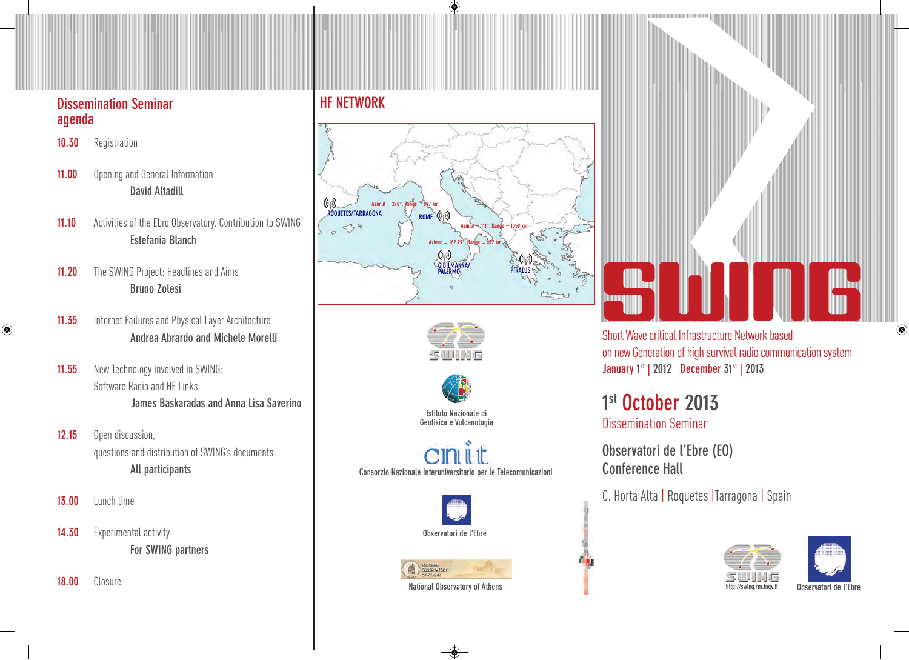### **Dissemination Seminar agenda**

- **10.30** Registration
- **11.00** Opening and General Information **David Altadill**
- 11.10 Activities of the Ebro Observatory. Contribution to SWING **Estefania Blanch**
- **11.20** The SWING Project: Headlines and Aims **Bruno Zolesi**
- 11.35 Internet Failures and Physical Layer Architecture **Andrea Abrardo and Michele Morelli**
- **11.55** New Technology involved in SWING: Software Radio and HF Links **James Baskaradas and Anna Lisa Saverino**
- **12.15** Open discussion, questions and distribution of SWING's documents **All participants**
- **13.00** Lunch time

◈

- 14.30 Experimental activity **For SWING partners**
- **18.00** Closure

### **HF NETWORK**







**Istituto Nazionale di Geofisica e Vulcanologia**

**Consorzio Nazionale Interuniversitario per le Telecomunicazioni**





# **SWING**

Short Wave critical Infrastructure Network based on new Generation of high survival radio communication system **January 1 st | 2012 December 31st | 2013**

**1 st October 2013** Dissemination Seminar

**Observatori de l'Ebre (EO) Conference Hall**

C. Horta Alta | Roquetes | Tarragona | Spain